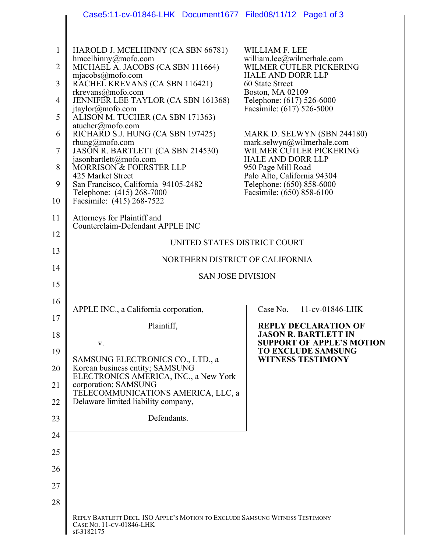|                | Case5:11-cv-01846-LHK Document1677 Filed08/11/12 Page1 of 3                                                            |                                                               |
|----------------|------------------------------------------------------------------------------------------------------------------------|---------------------------------------------------------------|
|                |                                                                                                                        |                                                               |
| 1              | HAROLD J. MCELHINNY (CA SBN 66781)                                                                                     | <b>WILLIAM F. LEE</b><br>william.lee@wilmerhale.com           |
| $\overline{2}$ | hmcelhinny@mofo.com<br>MICHAEL A. JACOBS (CA SBN 111664)<br>mjacobs@mofo.com                                           | WILMER CUTLER PICKERING<br><b>HALE AND DORR LLP</b>           |
| 3              | RACHEL KREVANS (CA SBN 116421)<br>rkrevans@mofo.com                                                                    | 60 State Street<br>Boston, MA 02109                           |
| 4              | JENNIFER LEE TAYLOR (CA SBN 161368)<br>jtaylor@mofo.com                                                                | Telephone: (617) 526-6000<br>Facsimile: (617) 526-5000        |
| 5              | ALISON M. TUCHER (CA SBN 171363)<br>$atucher(\partial \text{mofo.com})$                                                |                                                               |
| 6              | RICHARD S.J. HUNG (CA SBN 197425)<br>$r$ hung@mofo.com                                                                 | MARK D. SELWYN (SBN 244180)<br>mark.selwyn@wilmerhale.com     |
| 7              | JASON R. BARTLETT (CA SBN 214530)<br>jasonbartlett@mofo.com                                                            | WILMER CUTLER PICKERING<br><b>HALE AND DORR LLP</b>           |
| 8              | MORRISON & FOERSTER LLP<br>425 Market Street                                                                           | 950 Page Mill Road                                            |
| 9              | San Francisco, California 94105-2482                                                                                   | Palo Alto, California 94304<br>Telephone: (650) 858-6000      |
| 10             | Telephone: (415) 268-7000<br>Facsimile: (415) 268-7522                                                                 | Facsimile: (650) 858-6100                                     |
| 11             | Attorneys for Plaintiff and<br>Counterclaim-Defendant APPLE INC                                                        |                                                               |
| 12             | UNITED STATES DISTRICT COURT                                                                                           |                                                               |
| 13             |                                                                                                                        |                                                               |
| 14             | NORTHERN DISTRICT OF CALIFORNIA                                                                                        |                                                               |
| 15             | <b>SAN JOSE DIVISION</b>                                                                                               |                                                               |
| 16             |                                                                                                                        |                                                               |
| 17             | APPLE INC., a California corporation,                                                                                  | Case No.<br>11-cv-01846-LHK                                   |
| 18             | Plaintiff,                                                                                                             | <b>REPLY DECLARATION OF</b><br><b>JASON R. BARTLETT IN</b>    |
| 19             | V.                                                                                                                     | <b>SUPPORT OF APPLE'S MOTION</b><br><b>TO EXCLUDE SAMSUNG</b> |
| 20             | SAMSUNG ELECTRONICS CO., LTD., a<br>Korean business entity; SAMSUNG                                                    | <b>WITNESS TESTIMONY</b>                                      |
| 21             | ELECTRONICS AMERICA, INC., a New York<br>corporation; SAMSUNG                                                          |                                                               |
| 22             | TELECOMMUNICATIONS AMERICA, LLC, a<br>Delaware limited liability company,                                              |                                                               |
| 23             | Defendants.                                                                                                            |                                                               |
| 24             |                                                                                                                        |                                                               |
| 25             |                                                                                                                        |                                                               |
| 26             |                                                                                                                        |                                                               |
| 27             |                                                                                                                        |                                                               |
| 28             |                                                                                                                        |                                                               |
|                | REPLY BARTLETT DECL. ISO APPLE'S MOTION TO EXCLUDE SAMSUNG WITNESS TESTIMONY<br>CASE NO. 11-CV-01846-LHK<br>sf-3182175 |                                                               |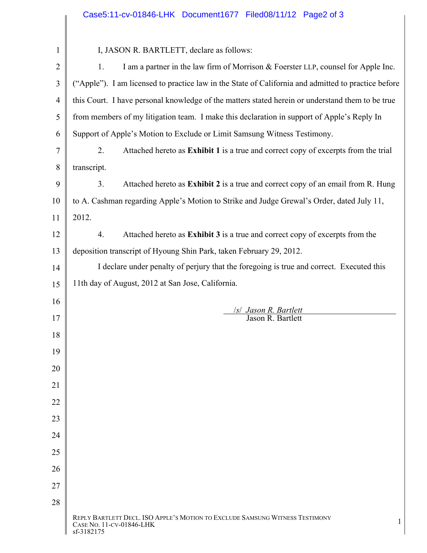|                | Case5:11-cv-01846-LHK Document1677 Filed08/11/12 Page2 of 3                                                                 |  |  |
|----------------|-----------------------------------------------------------------------------------------------------------------------------|--|--|
|                |                                                                                                                             |  |  |
| 1              | I, JASON R. BARTLETT, declare as follows:                                                                                   |  |  |
| $\overline{2}$ | I am a partner in the law firm of Morrison & Foerster LLP, counsel for Apple Inc.<br>1.                                     |  |  |
| 3              | ("Apple"). I am licensed to practice law in the State of California and admitted to practice before                         |  |  |
| 4              | this Court. I have personal knowledge of the matters stated herein or understand them to be true                            |  |  |
| 5              | from members of my litigation team. I make this declaration in support of Apple's Reply In                                  |  |  |
| 6              | Support of Apple's Motion to Exclude or Limit Samsung Witness Testimony.                                                    |  |  |
| 7              | Attached hereto as Exhibit 1 is a true and correct copy of excerpts from the trial<br>2.                                    |  |  |
| 8              | transcript.                                                                                                                 |  |  |
| 9              | Attached hereto as Exhibit 2 is a true and correct copy of an email from R. Hung<br>3.                                      |  |  |
| 10             | to A. Cashman regarding Apple's Motion to Strike and Judge Grewal's Order, dated July 11,                                   |  |  |
| 11             | 2012.                                                                                                                       |  |  |
| 12             | Attached hereto as Exhibit 3 is a true and correct copy of excerpts from the<br>4.                                          |  |  |
| 13             | deposition transcript of Hyoung Shin Park, taken February 29, 2012.                                                         |  |  |
| 14             | I declare under penalty of perjury that the foregoing is true and correct. Executed this                                    |  |  |
| 15             | 11th day of August, 2012 at San Jose, California.                                                                           |  |  |
| 16             |                                                                                                                             |  |  |
| 17             | <i>Isl Jason R. Bartlett</i><br>Jason R. Bartlett                                                                           |  |  |
| 18             |                                                                                                                             |  |  |
| 19             |                                                                                                                             |  |  |
| 20             |                                                                                                                             |  |  |
| 21             |                                                                                                                             |  |  |
| 22             |                                                                                                                             |  |  |
| 23             |                                                                                                                             |  |  |
| 24             |                                                                                                                             |  |  |
| 25             |                                                                                                                             |  |  |
| 26             |                                                                                                                             |  |  |
| 27             |                                                                                                                             |  |  |
| 28             |                                                                                                                             |  |  |
|                | REPLY BARTLETT DECL. ISO APPLE'S MOTION TO EXCLUDE SAMSUNG WITNESS TESTIMONY<br>1<br>CASE NO. 11-CV-01846-LHK<br>sf-3182175 |  |  |